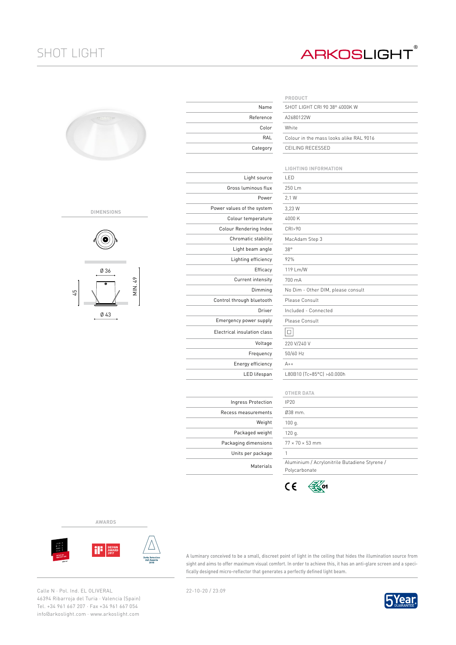## SHOT LIGHT

## **ARKOSLIGHT®**

| ÷ |  |
|---|--|
|   |  |

## **DIMENSIONS**



Ø 43

|                             | PRODUCT                     |
|-----------------------------|-----------------------------|
| Name                        | SHOT LIGHT CRI              |
| Reference                   | A2680122W                   |
| Color                       | White                       |
| RAL                         | Colour in the ma            |
| Category                    | CEILING RECESS              |
|                             |                             |
|                             | LIGHTING INFOI              |
| Light source                | LED                         |
| Gross luminous flux         | 250 Lm                      |
| Power                       | 2,1 W                       |
| Power values of the system  | 3,23 W                      |
| Colour temperature          | 4000 K                      |
| Colour Rendering Index      | CRI>90                      |
| Chromatic stability         | MacAdam Step 3              |
| Light beam angle            | 38°                         |
| Lighting efficiency         | 92%                         |
| Efficacy                    | 119 Lm/W                    |
| Current intensity           | 700 mA                      |
| Dimming                     | No Dim - Other I            |
| Control through bluetooth   | Please Consult              |
| Driver                      | Included - Conne            |
| Emergency power supply      | Please Consult              |
| Electrical insulation class | $\Box$                      |
| Voltage                     | 220 V/240 V                 |
| Frequency                   | 50/60 Hz                    |
| Energy efficiency           | $A++$                       |
| LED lifespan                | L80B10 (Tc=85°C             |
|                             |                             |
|                             | <b>OTHER DATA</b>           |
| Ingress Protection          | <b>IP20</b>                 |
| Recess measurements         | Ø38 mm.                     |
| Weight                      | 100 g.                      |
| Packaged weight             | 120 g.                      |
| Packaging dimensions        | $77 \times 70 \times 53$ mm |
| Units per package           | 1                           |

|           | PRODUCT                                 |
|-----------|-----------------------------------------|
| Name      | SHOT LIGHT CRL90 38° 4000K W            |
| 'eference | A2680122W                               |
| Color     | White                                   |
| RAL       | Colour in the mass looks alike RAL 9016 |
| Category  | CEILING RECESSED                        |
|           |                                         |

|                | <b>LIGHTING INFORMATION</b>                                    |
|----------------|----------------------------------------------------------------|
| Light source   | LED                                                            |
| uminous flux   | 250 Lm                                                         |
| Power          | 2.1 W                                                          |
| of the system  | 3.23 W                                                         |
| temperature    | 4000 K                                                         |
| dering Index   | CRI>90                                                         |
| atic stability | MacAdam Step 3                                                 |
| t beam angle   | 38°                                                            |
| ing efficiency | 92%                                                            |
| Efficacy       | 119 Lm/W                                                       |
| rent intensity | 700 mA                                                         |
| Dimming        | No Dim - Other DIM, please consult                             |
| gh bluetooth   | Please Consult                                                 |
| Driver         | Included - Connected                                           |
| power supply   | Please Consult                                                 |
| ulation class  | □                                                              |
| Voltage        | 220 V/240 V                                                    |
| Frequency      | 50/60 Hz                                                       |
| rgy efficiency | $A++$                                                          |
| LED lifespan   | L80B10 (Tc=85°C) >60.000h                                      |
|                |                                                                |
|                | <b>OTHER DATA</b>                                              |
| ss Protection  | <b>IP20</b>                                                    |
| easurements    | Ø38 mm.                                                        |
| Weight         | 100 g.                                                         |
| kaged weight   | 120 g.                                                         |
| q dimensions   | $77 \times 70 \times 53$ mm                                    |
| per package    | 1                                                              |
| Materials      | Aluminium / Acrylonitrile Butadiene Styrene /<br>Polycarbonate |



**AWARDS**



A luminary conceived to be a small, discreet point of light in the ceiling that hides the illumination source from sight and aims to offer maximum visual comfort. In order to achieve this, it has an anti-glare screen and a specifically designed micro-reflector that generates a perfectly defined light beam.

Calle N · Pol. Ind. EL OLIVERAL 22-10-20 / 23:09 46394 Ribarroja del Turia · Valencia (Spain) Tel. +34 961 667 207 · Fax +34 961 667 054 info@arkoslight.com · www.arkoslight.com